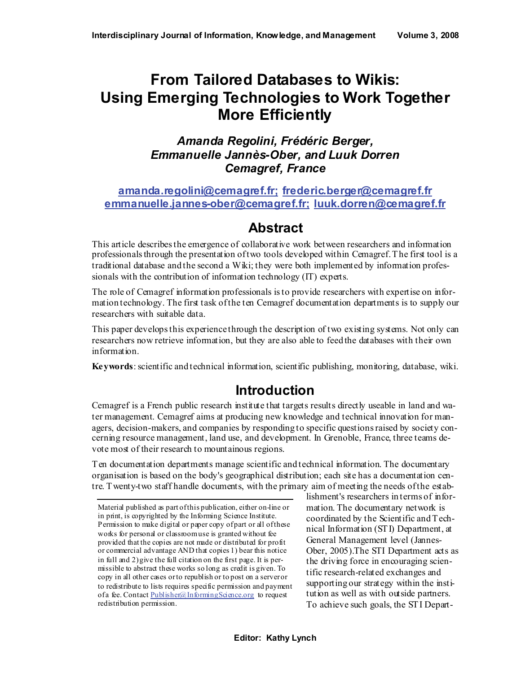# **From Tailored Databases to Wikis: Using Emerging Technologies to Work Together More Efficiently**

*Amanda Regolini, Frédéric Berger, Emmanuelle Jannès-Ober, and Luuk Dorren Cemagref, France* 

#### **[amanda.regolini@cemagref.fr;](mailto:amanda.regolini@cemagref.fr) [frederic.berger@cemagref.fr](mailto:frederic.berger@cemagref.fr) [emmanuelle.jannes-ober@cemagref.fr;](mailto:emmanuelle.jannes-ober@cemagref.fr) [luuk.dorren@cemagref.fr](mailto:luuk.dorren@cemagref.fr)**

### **Abstract**

This article describes the emergence of collaborative work between researchers and information professionals through the presentation of two tools developed within Cemagref. The first tool is a traditional database and the second a Wiki; they were both implemented by information professionals with the contribution of information technology (IT) experts.

The role of Cemagref information professionals is to provide researchers with expertise on information technology. The first task of the ten Cemagref documentation departments is to supply our researchers with suitable data.

This paper develops this experience through the description of two existing systems. Not only can researchers now retrieve information, but they are also able to feed the databases with their own information.

**Keywords**: scientific and technical information, scientific publishing, monitoring, database, wiki.

### **Introduction**

Cemagref is a French public research institute that targets results directly useable in land and water management. Cemagref aims at producing new knowledge and technical innovation for managers, decision-makers, and companies by responding to specific questions raised by society concerning resource management, land use, and development. In Grenoble, France, three teams devote most of their research to mountainous regions.

Ten documentation departments manage scientific and technical information. The documentary organisation is based on the body's geographical distribution; each site has a documentation centre. Twenty-two staff handle documents, with the primary aim of meeting the needs of the estab-

lishment's researchers in terms of information. The documentary network is coordinated by the Scientific and Technical Information (STI) Department, at General Management level (Jannes-Ober, 2005).The STI Department acts as the driving force in encouraging scientific research-related exchanges and supporting our strategy within the institution as well as with outside partners. To achieve such goals, the STI Depart-

Material published as part of this publication, either on-line or in print, is copyrighted by the Informing Science Institute. Permission to make digital or paper copy of part or all of these works for personal or classroom use is granted without fee provided that the copies are not made or distributed for profit or commercial advantage AND that copies 1) bear this notice in full and 2) give the full citation on the first page. It is permissible to abstract these works so long as credit is given. To copy in all other cases or to republish or to post on a server or to redistribute to lists requires specific permission and payment of a fee. Contact [Publisher@InformingScience.org](mailto:Publisher@InformingScience.org) to request redistribution permission.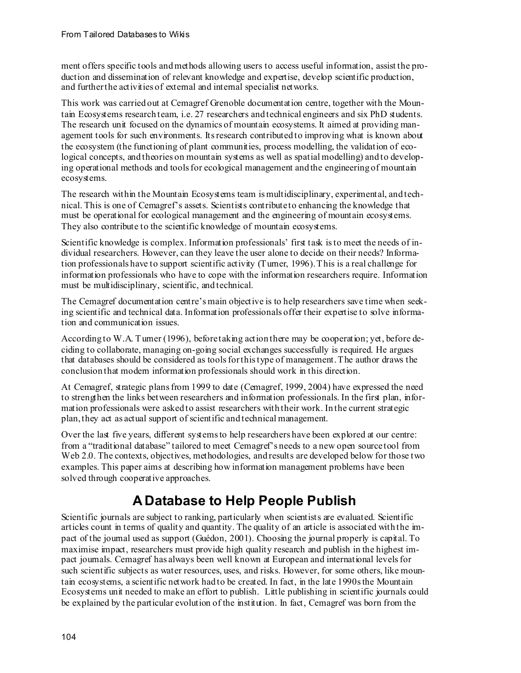ment offers specific tools and methods allowing users to access useful information, assist the production and dissemination of relevant knowledge and expertise, develop scientific production, and further the activities of external and internal specialist networks.

This work was carried out at Cemagref Grenoble documentation centre, together with the Mountain Ecosystems research team, i.e. 27 researchers and technical engineers and six PhD students. The research unit focused on the dynamics of mountain ecosystems. It aimed at providing management tools for such environments. Its research contributed to improving what is known about the ecosystem (the functioning of plant communities, process modelling, the validation of ecological concepts, and theories on mountain systems as well as spatial modelling) and to developing operational methods and tools for ecological management and the engineering of mountain ecosystems.

The research within the Mountain Ecosystems team is multidisciplinary, experimental, and technical. This is one of Cemagref's assets. Scientists contribute to enhancing the knowledge that must be operational for ecological management and the engineering of mountain ecosystems. They also contribute to the scientific knowledge of mountain ecosystems.

Scientific knowledge is complex. Information professionals' first task is to meet the needs of individual researchers. However, can they leave the user alone to decide on their needs? Information professionals have to support scientific activity (Turner, 1996). This is a real challenge for information professionals who have to cope with the information researchers require. Information must be multidisciplinary, scientific, and technical.

The Cemagref documentation centre's main objective is to help researchers save time when seeking scientific and technical data. Information professionals offer their expertise to solve information and communication issues.

According to W.A. Turner (1996), before taking action there may be cooperation; yet, before deciding to collaborate, managing on-going social exchanges successfully is required. He argues that databases should be considered as tools for this type of management. The author draws the conclusion that modern information professionals should work in this direction.

At Cemagref, strategic plans from 1999 to date (Cemagref, 1999, 2004) have expressed the need to strengthen the links between researchers and information professionals. In the first plan, information professionals were asked to assist researchers with their work. In the current strategic plan, they act as actual support of scientific and technical management.

Over the last five years, different systems to help researchers have been explored at our centre: from a "traditional database" tailored to meet Cemagref's needs to a new open source tool from Web 2.0. The contexts, objectives, methodologies, and results are developed below for those two examples. This paper aims at describing how information management problems have been solved through cooperative approaches.

## **A Database to Help People Publish**

Scientific journals are subject to ranking, particularly when scientists are evaluated. Scientific articles count in terms of quality and quantity. The quality of an article is associated with the impact of the journal used as support (Guédon, 2001). Choosing the journal properly is capital. To maximise impact, researchers must provide high quality research and publish in the highest impact journals. Cemagref has always been well known at European and international levels for such scientific subjects as water resources, uses, and risks. However, for some others, like mountain ecosystems, a scientific network had to be created. In fact, in the late 1990s the Mountain Ecosystems unit needed to make an effort to publish. Little publishing in scientific journals could be explained by the particular evolution of the institution. In fact, Cemagref was born from the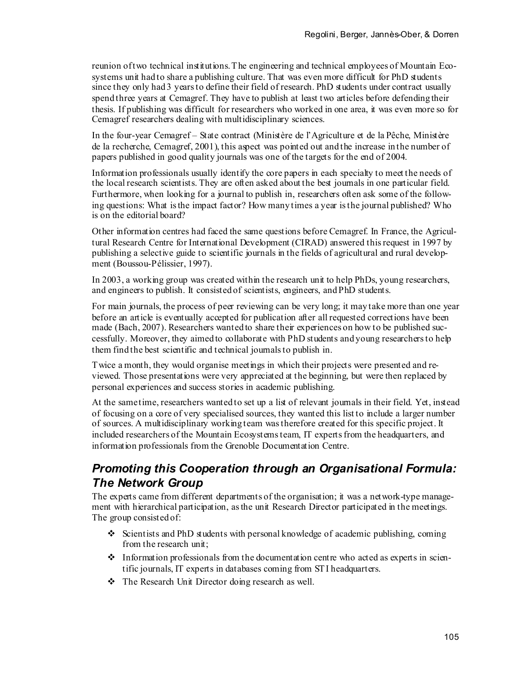reunion of two technical institutions. The engineering and technical employees of Mountain Ecosystems unit had to share a publishing culture. That was even more difficult for PhD students since they only had 3 years to define their field of research. PhD students under contract usually spend three years at Cemagref. They have to publish at least two articles before defending their thesis. If publishing was difficult for researchers who worked in one area, it was even more so for Cemagref researchers dealing with multidisciplinary sciences.

In the four-year Cemagref – State contract (Ministère de l'Agriculture et de la Pêche, Ministère de la recherche, Cemagref, 2001), this aspect was pointed out and the increase in the number of papers published in good quality journals was one of the targets for the end of 2004.

Information professionals usually identify the core papers in each specialty to meet the needs of the local research scientists. They are often asked about the best journals in one particular field. Furthermore, when looking for a journal to publish in, researchers often ask some of the following questions: What is the impact factor? How many times a year is the journal published? Who is on the editorial board?

Other information centres had faced the same questions before Cemagref. In France, the Agricultural Research Centre for International Development (CIRAD) answered this request in 1997 by publishing a selective guide to scientific journals in the fields of agricultural and rural development (Boussou-Pélissier, 1997).

In 2003, a working group was created within the research unit to help PhDs, young researchers, and engineers to publish. It consisted of scientists, engineers, and PhD students.

For main journals, the process of peer reviewing can be very long; it may take more than one year before an article is eventually accepted for publication after all requested corrections have been made (Bach, 2007). Researchers wanted to share their experiences on how to be published successfully. Moreover, they aimed to collaborate with PhD students and young researchers to help them find the best scientific and technical journals to publish in.

Twice a month, they would organise meetings in which their projects were presented and reviewed. Those presentations were very appreciated at the beginning, but were then replaced by personal experiences and success stories in academic publishing.

At the same time, researchers wanted to set up a list of relevant journals in their field. Yet, instead of focusing on a core of very specialised sources, they wanted this list to include a larger number of sources. A multidisciplinary working team was therefore created for this specific project. It included researchers of the Mountain Ecosystems team, IT experts from the headquarters, and information professionals from the Grenoble Documentation Centre.

### *Promoting this Cooperation through an Organisational Formula: The Network Group*

The experts came from different departments of the organisation; it was a network-type management with hierarchical participation, as the unit Research Director participated in the meetings. The group consisted of:

- $\div$  Scientists and PhD students with personal knowledge of academic publishing, coming from the research unit;
- $\cdot$  Information professionals from the documentation centre who acted as experts in scientific journals, IT experts in databases coming from STI headquarters.
- The Research Unit Director doing research as well.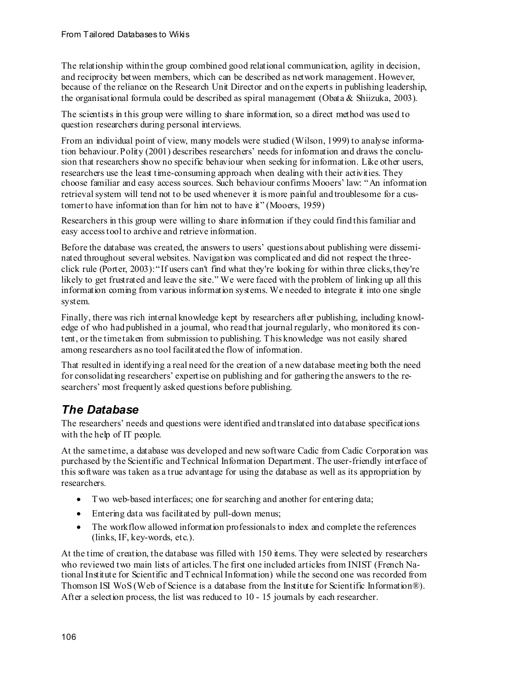The relationship within the group combined good relational communication, agility in decision, and reciprocity between members, which can be described as network management. However, because of the reliance on the Research Unit Director and on the experts in publishing leadership, the organisational formula could be described as spiral management (Obata & Shiizuka, 2003).

The scientists in this group were willing to share information, so a direct method was used to question researchers during personal interviews.

From an individual point of view, many models were studied (Wilson, 1999) to analyse information behaviour. Polity (2001) describes researchers' needs for information and draws the conclusion that researchers show no specific behaviour when seeking for information. Like other users, researchers use the least time-consuming approach when dealing with their activities. They choose familiar and easy access sources. Such behaviour confirms Mooers' law: "An information retrieval system will tend not to be used whenever it is more painful and troublesome for a customer to have information than for him not to have it" (Mooers, 1959)

Researchers in this group were willing to share information if they could find this familiar and easy access tool to archive and retrieve information.

Before the database was created, the answers to users' questions about publishing were disseminated throughout several websites. Navigation was complicated and did not respect the threeclick rule (Porter, 2003): "If users can't find what they're looking for within three clicks, they're likely to get frustrated and leave the site." We were faced with the problem of linking up all this information coming from various information systems. We needed to integrate it into one single system.

Finally, there was rich internal knowledge kept by researchers after publishing, including knowledge of who had published in a journal, who read that journal regularly, who monitored its content, or the time taken from submission to publishing. This knowledge was not easily shared among researchers as no tool facilitated the flow of information.

That resulted in identifying a real need for the creation of a new database meeting both the need for consolidating researchers' expertise on publishing and for gathering the answers to the researchers' most frequently asked questions before publishing.

#### *The Database*

The researchers' needs and questions were identified and translated into database specifications with the help of IT people.

At the same time, a database was developed and new software Cadic from Cadic Corporation was purchased by the Scientific and Technical Information Department. The user-friendly interface of this software was taken as a true advantage for using the database as well as its appropriation by researchers.

- Two web-based interfaces; one for searching and another for entering data;
- Entering data was facilitated by pull-down menus;
- The workflow allowed information professionals to index and complete the references (links, IF, key-words, etc.).

At the time of creation, the database was filled with 150 items. They were selected by researchers who reviewed two main lists of articles. The first one included articles from INIST (French National Institute for Scientific and Technical Information) while the second one was recorded from Thomson ISI WoS (Web of Science is a database from the Institute for Scientific Information®). After a selection process, the list was reduced to 10 - 15 journals by each researcher.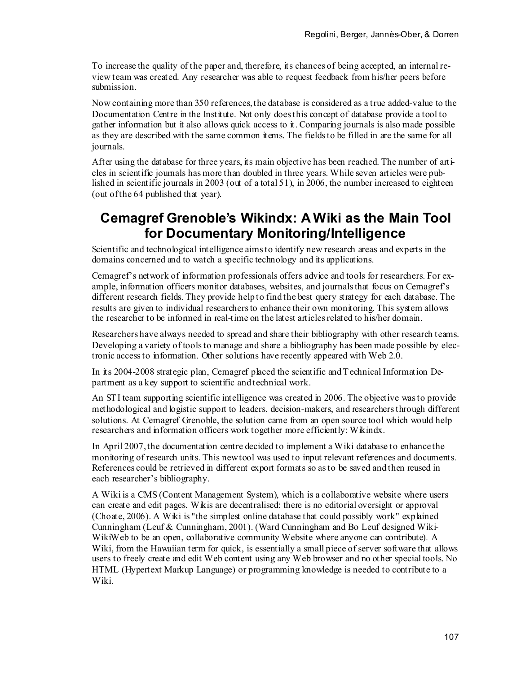To increase the quality of the paper and, therefore, its chances of being accepted, an internal review team was created. Any researcher was able to request feedback from his/her peers before submission.

Now containing more than 350 references, the database is considered as a true added-value to the Documentation Centre in the Institute. Not only does this concept of database provide a tool to gather information but it also allows quick access to it. Comparing journals is also made possible as they are described with the same common items. The fields to be filled in are the same for all journals.

After using the database for three years, its main objective has been reached. The number of articles in scientific journals has more than doubled in three years. While seven articles were published in scientific journals in 2003 (out of a total 51), in 2006, the number increased to eighteen (out of the 64 published that year).

### **Cemagref Grenoble's Wikindx: A Wiki as the Main Tool for Documentary Monitoring/Intelligence**

Scientific and technological intelligence aims to identify new research areas and experts in the domains concerned and to watch a specific technology and its applications.

Cemagref's network of information professionals offers advice and tools for researchers. For example, information officers monitor databases, websites, and journals that focus on Cemagref's different research fields. They provide help to find the best query strategy for each database. The results are given to individual researchers to enhance their own monitoring. This system allows the researcher to be informed in real-time on the latest articles related to his/her domain.

Researchers have always needed to spread and share their bibliography with other research teams. Developing a variety of tools to manage and share a bibliography has been made possible by electronic access to information. Other solutions have recently appeared with Web 2.0.

In its 2004-2008 strategic plan, Cemagref placed the scientific and Technical Information Department as a key support to scientific and technical work.

An STI team supporting scientific intelligence was created in 2006. The objective was to provide methodological and logistic support to leaders, decision-makers, and researchers through different solutions. At Cemagref Grenoble, the solution came from an open source tool which would help researchers and information officers work together more efficiently: Wikindx.

In April 2007, the documentation centre decided to implement a Wiki database to enhance the monitoring of research units. This new tool was used to input relevant references and documents. References could be retrieved in different export formats so as to be saved and then reused in each researcher's bibliography.

A Wiki is a CMS (Content Management System), which is a collaborative website where users can create and edit pages. Wikis are decentralised: there is no editorial oversight or approval (Choate, 2006). A Wiki is "the simplest online database that could possibly work" explained Cunningham (Leuf & Cunningham, 2001). (Ward Cunningham and Bo Leuf designed Wiki-WikiWeb to be an open, collaborative community Website where anyone can contribute)*.* A Wiki, from the Hawaiian term for quick, is essentially a small piece of server software that allows users to freely create and edit Web content using any Web browser and no other special tools. No HTML (Hypertext Markup Language) or programming knowledge is needed to contribute to a Wiki.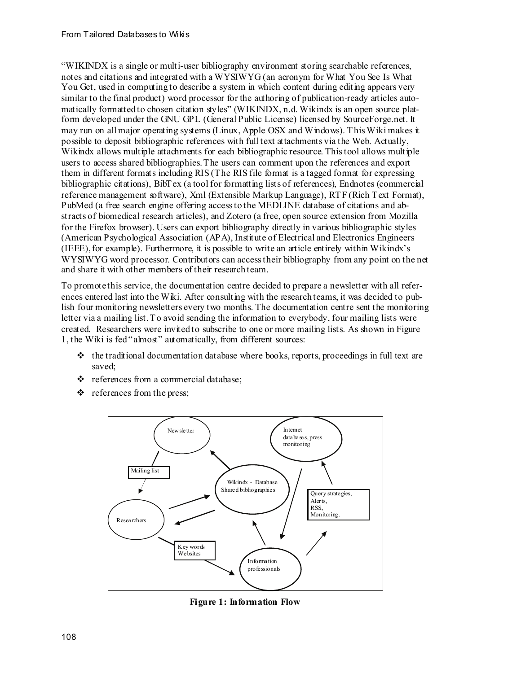"WIKINDX is a single or multi-user bibliography environment storing searchable references, notes and citations and integrated with a WYSIWYG (an acronym for What You See Is What You Get, used in computing to describe a system in which content during editing appears very similar to the final product) word processor for the authoring of publication-ready articles automatically formatted to chosen citation styles" (WIKINDX, n.d. Wikindx is an open source platform developed under the GNU GPL (General Public License) licensed by SourceForge.net. It may run on all major operating systems (Linux, Apple OSX and Windows). This Wiki makes it possible to deposit bibliographic references with full text attachments via the Web. Actually, Wikindx allows multiple attachments for each bibliographic resource. This tool allows multiple users to access shared bibliographies. The users can comment upon the references and export them in different formats including RIS (The RIS file format is a tagged format for expressing bibliographic citations), BibTex (a tool for formatting lists of references), Endnotes (commercial reference management software), Xml (Extensible Markup Language), RTF (Rich Text Format), PubMed (a free search engine offering access to the MEDLINE database of citations and abstracts of biomedical research articles), and Zotero (a free, open source extension from Mozilla for the Firefox browser). Users can export bibliography directly in various bibliographic styles (American Psychological Association (APA), Institute of Electrical and Electronics Engineers (IEEE),for example). Furthermore, it is possible to write an article entirely within Wikindx's WYSIWYG word processor. Contributors can access their bibliography from any point on the net and share it with other members of their research team.

To promote this service, the documentation centre decided to prepare a newsletter with all references entered last into the Wiki. After consulting with the research teams, it was decided to publish four monitoring newsletters every two months. The documentation centre sent the monitoring letter via a mailing list. To avoid sending the information to everybody, four mailing lists were created. Researchers were invited to subscribe to one or more mailing lists. As shown in Figure 1, the Wiki is fed "almost" automatically, from different sources:

- $\cdot \cdot$  the traditional documentation database where books, reports, proceedings in full text are saved;
- \* references from a commercial database;
- $\triangleleft$  references from the press;



**Figure 1: Information Flow**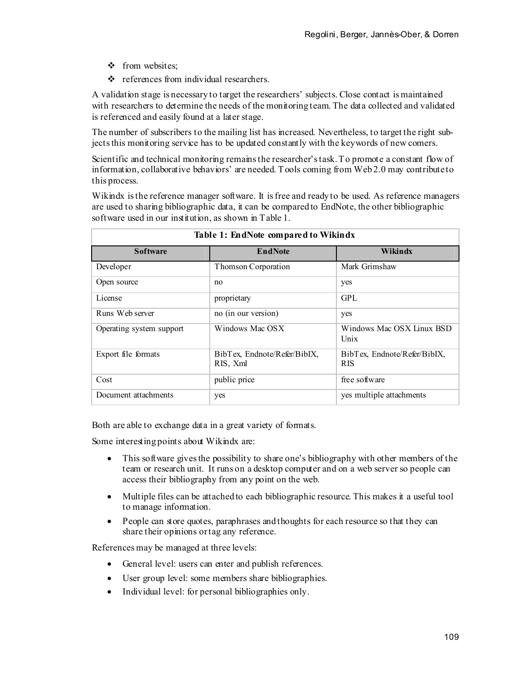- ❖ from websites;
- references from individual researchers.

A validation stage is necessary to target the researchers' subjects. Close contact is maintained with researchers to determine the needs of the monitoring team. The data collected and validated is referenced and easily found at a later stage.

The number of subscribers to the mailing list has increased. Nevertheless, to target the right subjects this monitoring service has to be updated constantly with the keywords of new comers.

Scientific and technical monitoring remains the researcher's task. To promote a constant flow of information, collaborative behaviors' are needed. Tools coming from Web 2.0 may contribute to this process.

Wikindx is the reference manager software. It is free and ready to be used. As reference managers are used to sharing bibliographic data, it can be compared to EndNote, the other bibliographic software used in our institution, as shown in Table 1.

| Table 1: Eliginate compared to wikings |                                          |                                            |  |  |
|----------------------------------------|------------------------------------------|--------------------------------------------|--|--|
| <b>Software</b>                        | <b>EndNote</b>                           | Wikindx                                    |  |  |
| Developer                              | Thomson Corporation                      | Mark Grimshaw                              |  |  |
| Open source                            | no                                       | yes                                        |  |  |
| License                                | proprietary                              | GPL                                        |  |  |
| Runs Web server                        | no (in our version)                      | yes                                        |  |  |
| Operating system support               | Windows Mac OSX                          | Windows Mac OSX Linux BSD<br>Unix          |  |  |
| Export file formats                    | BibTex, Endnote/Refer/BibIX,<br>RIS, Xml | BibTex, Endnote/Refer/BibIX,<br><b>RIS</b> |  |  |
| Cost                                   | public price                             | free software                              |  |  |
| Document attachments                   | yes                                      | yes multiple attachments                   |  |  |

| Table 1: EndNote compared to Wikindx |  |  |
|--------------------------------------|--|--|
|--------------------------------------|--|--|

Both are able to exchange data in a great variety of formats.

Some interesting points about Wikindx are:

- This software gives the possibility to share one's bibliography with other members of the team or research unit. It runs on a desktop computer and on a web server so people can access their bibliography from any point on the web.
- Multiple files can be attached to each bibliographic resource. This makes it a useful tool to manage information.
- People can store quotes, paraphrases and thoughts for each resource so that they can share their opinions or tag any reference.

References may be managed at three levels:

- General level: users can enter and publish references.
- User group level: some members share bibliographies.
- Individual level: for personal bibliographies only.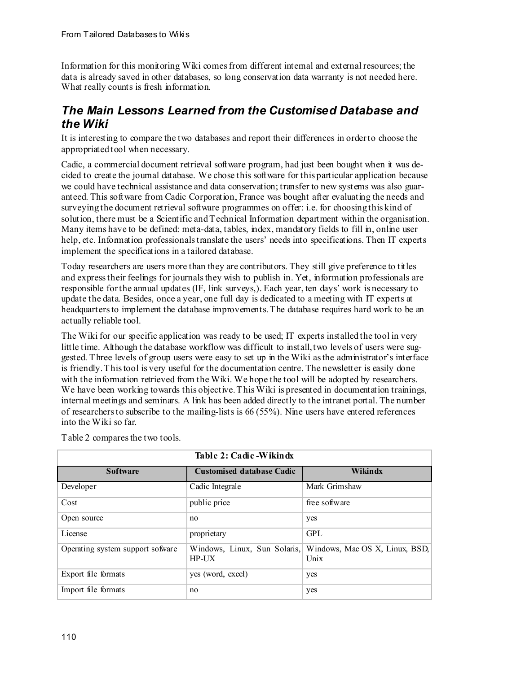Information for this monitoring Wiki comes from different internal and external resources; the data is already saved in other databases, so long conservation data warranty is not needed here. What really counts is fresh information.

#### *The Main Lessons Learned from the Customised Database and the Wiki*

It is interesting to compare the two databases and report their differences in order to choose the appropriated tool when necessary.

Cadic, a commercial document retrieval software program, had just been bought when it was decided to create the journal database. We chose this software for this particular application because we could have technical assistance and data conservation; transfer to new systems was also guaranteed. This software from Cadic Corporation, France was bought after evaluating the needs and surveying the document retrieval software programmes on offer: i.e. for choosing this kind of solution, there must be a Scientific and Technical Information department within the organisation. Many items have to be defined: meta-data, tables, index, mandatory fields to fill in, online user help, etc. Information professionals translate the users' needs into specifications. Then IT experts implement the specifications in a tailored database.

Today researchers are users more than they are contributors. They still give preference to titles and express their feelings for journals they wish to publish in. Yet, information professionals are responsible for the annual updates (IF, link surveys,). Each year, ten days' work is necessary to update the data. Besides, once a year, one full day is dedicated to a meeting with IT experts at headquarters to implement the database improvements. The database requires hard work to be an actually reliable tool.

The Wiki for our specific application was ready to be used; IT experts installed the tool in very little time. Although the database workflow was difficult to install, two levels of users were suggested. Three levels of group users were easy to set up in the Wiki as the administrator's interface is friendly. This tool is very useful for the documentation centre. The newsletter is easily done with the information retrieved from the Wiki. We hope the tool will be adopted by researchers. We have been working towards this objective. This Wiki is presented in documentation trainings, internal meetings and seminars. A link has been added directly to the intranet portal. The number of researchers to subscribe to the mailing-lists is 66 (55%). Nine users have entered references into the Wiki so far.

| Table 2: Cadic - Wikindx         |                                         |                                        |  |  |
|----------------------------------|-----------------------------------------|----------------------------------------|--|--|
| <b>Software</b>                  | <b>Customised database Cadic</b>        | Wikindx                                |  |  |
| Developer                        | Cadic Integrale                         | Mark Grimshaw                          |  |  |
| Cost                             | public price                            | free software                          |  |  |
| Open source                      | no                                      | yes                                    |  |  |
| License                          | proprietary                             | GPL                                    |  |  |
| Operating system support sofware | Windows, Linux, Sun Solaris,<br>$HP-UX$ | Windows, Mac OS X, Linux, BSD,<br>Unix |  |  |
| Export file formats              | yes (word, excel)                       | yes                                    |  |  |
| Import file formats              | no                                      | yes                                    |  |  |

Table 2 compares the two tools.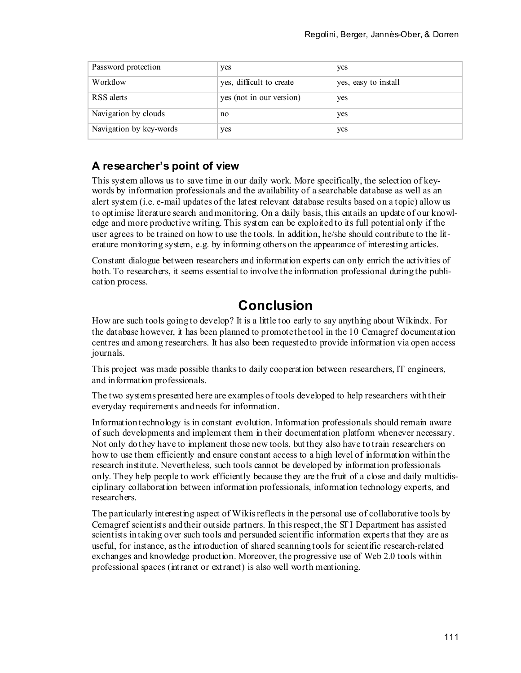| Password protection     | yes                      | yes                  |
|-------------------------|--------------------------|----------------------|
| Workflow                | yes, difficult to create | yes, easy to install |
| RSS alerts              | yes (not in our version) | yes                  |
| Navigation by clouds    | no                       | yes                  |
| Navigation by key-words | yes                      | yes                  |

#### **A researcher's point of view**

This system allows us to save time in our daily work. More specifically, the selection of keywords by information professionals and the availability of a searchable database as well as an alert system (i.e. e-mail updates of the latest relevant database results based on a topic) allow us to optimise literature search and monitoring. On a daily basis, this entails an update of our knowledge and more productive writing. This system can be exploited to its full potential only if the user agrees to be trained on how to use the tools. In addition, he/she should contribute to the literature monitoring system, e.g. by informing others on the appearance of interesting articles.

Constant dialogue between researchers and information experts can only enrich the activities of both. To researchers, it seems essential to involve the information professional during the publication process.

## **Conclusion**

How are such tools going to develop? It is a little too early to say anything about Wikindx. For the database however, it has been planned to promote the tool in the 10 Cemagref documentation centres and among researchers. It has also been requested to provide information via open access journals.

This project was made possible thanks to daily cooperation between researchers, IT engineers, and information professionals.

The two systems presented here are examples of tools developed to help researchers with their everyday requirements and needs for information.

Information technology is in constant evolution. Information professionals should remain aware of such developments and implement them in their documentation platform whenever necessary. Not only do they have to implement those new tools, but they also have to train researchers on how to use them efficiently and ensure constant access to a high level of information within the research institute. Nevertheless, such tools cannot be developed by information professionals only. They help people to work efficiently because they are the fruit of a close and daily multidisciplinary collaboration between information professionals, information technology experts, and researchers.

The particularly interesting aspect of Wikis reflects in the personal use of collaborative tools by Cemagref scientists and their outside partners. In this respect, the STI Department has assisted scientists in taking over such tools and persuaded scientific information experts that they are as useful, for instance, as the introduction of shared scanning tools for scientific research-related exchanges and knowledge production. Moreover, the progressive use of Web 2.0 tools within professional spaces (intranet or extranet) is also well worth mentioning.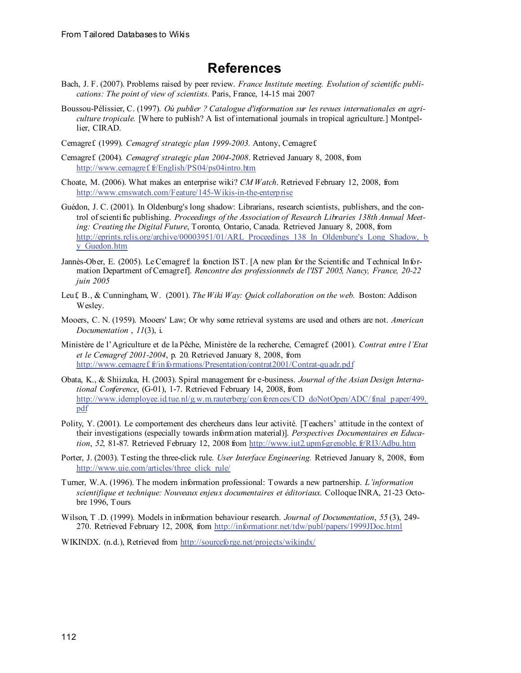### **References**

- Bach, J. F. (2007). Problems raised by peer review. *France Institute meeting. Evolution of scientific publications: The point of view of scientists.* Paris, France, 14-15 mai 2007
- Boussou-Pélissier, C. (1997). *Où publier ? Catalogue d'information sur les revues internationales en agriculture tropicale.* [Where to publish? A list of international journals in tropical agriculture.] Montpellier, CIRAD.
- Cemagref. (1999). *Cemagref strategic plan 1999-2003.* Antony, Cemagref.
- Cemagref. (2004). *Cemagref strategic plan 2004-2008*. Retrieved January 8, 2008, from [http://www.cemagref. fr/English/PS04/ps04intro.htm](http://www.cemagref.fr/English/PS04/ps04intro.htm)
- Choate, M. (2006). What makes an enterprise wiki? *CM Watch*. Retrieved February 12, 2008, from <http://www.cmswatch.com/Feature/145-Wikis-in-the-enterprise>
- Guédon, J. C. (2001). In Oldenburg's long shadow: Librarians, research scientists, publishers, and the control of scientific publishing. *Proceedings of the Association of Research Libraries 138th Annual Meeting: Creating the Digital Future*, Toronto, Ontario, Canada. Retrieved January 8, 2008, from [http://eprints.rclis.org/archive/00003951/01/ARL\\_Proceedings\\_138\\_In\\_Oldenburg's\\_Long\\_Shadow,\\_b](http://eprints.rclis.org/archive/00003951/01/ARL_Proceedings_138_In_Oldenburg) [y\\_Guedon.htm](http://eprints.rclis.org/archive/00003951/01/ARL_Proceedings_138_In_Oldenburg)
- Jannès-Ober, E. (2005). Le Cemagref: la fonction IST. [A new plan for the Scientific and Technical Information Department of Cemagref]. *Rencontre des professionnels de l'IST 2005, Nancy, France, 20-22 juin 2005*
- Leuf, B., & Cunningham, W. (2001). *The Wiki Way: Quick collaboration on the web.* Boston: Addison Wesley.
- Mooers, C. N. (1959). Mooers' Law; Or why some retrieval systems are used and others are not. *American Documentation* , *11*(3), i.
- Ministère de l'Agriculture et de la Pêche, Ministère de la recherche, Cemagref. (2001). *Contrat entre l'Etat et le Cemagref 2001-2004*, p. 20. Retrieved January 8, 2008, from [http://www.cemagref. fr/informations/Presentation/contrat2001/Contrat-quadr.pdf](http://www.cemagref.fr/informations/Presentation/contrat2001/Contrat-quadr.pdf)
- Obata, K., & Shiizuka, H. (2003). Spiral management for e-business. *Journal of the Asian Design International Conference*, (G-01), 1-7. Retrieved February 14, 2008, from [http://www.idemployee.id.tue.nl/g.w.m.rauterberg/conferences/CD\\_doNotOpen/ADC/final\\_paper/499.](http://www.idemployee.id.tue.nl/g.w.m.rauterberg/conferences/CD_doNotOpen/ADC/final_paper/499.pdf) [pdf](http://www.idemployee.id.tue.nl/g.w.m.rauterberg/conferences/CD_doNotOpen/ADC/final_paper/499.pdf)
- Polity, Y. (2001). Le comportement des chercheurs dans leur activité. [Teachers' attitude in the context of their investigations (especially towards information material)]. *Perspectives Documentaires en Education*, 52, 81-87. Retrieved February 12, 2008 from [http://www.iut2.upmf-grenoble. fr/RI3/Adbu.htm](http://www.iut2.upmf-grenoble.fr/RI3/Adbu.htm)
- Porter, J. (2003). Testing the three-click rule. *User Interface Engineering.* Retrieved January 8, 2008, from [http://www.uie.com/articles/three\\_click\\_rule/](http://www.uie.com/articles/three_click_rule/)
- Turner, W.A. (1996). The modern information professional: Towards a new partnership. *L'information scientifique et technique: Nouveaux enjeux documentaires et éditoriaux*. Colloque INRA, 21-23 Octobre 1996, Tours
- Wilson, T .D. (1999). Models in information behaviour research. *Journal of Documentation*, *55* (3), 249- 270. Retrieved February 12, 2008, from <http://informationr.net/tdw/publ/papers/1999JDoc.html>

WIKINDX. (n.d.), Retrieved from <http://sourceforge.net/projects/wikindx/>